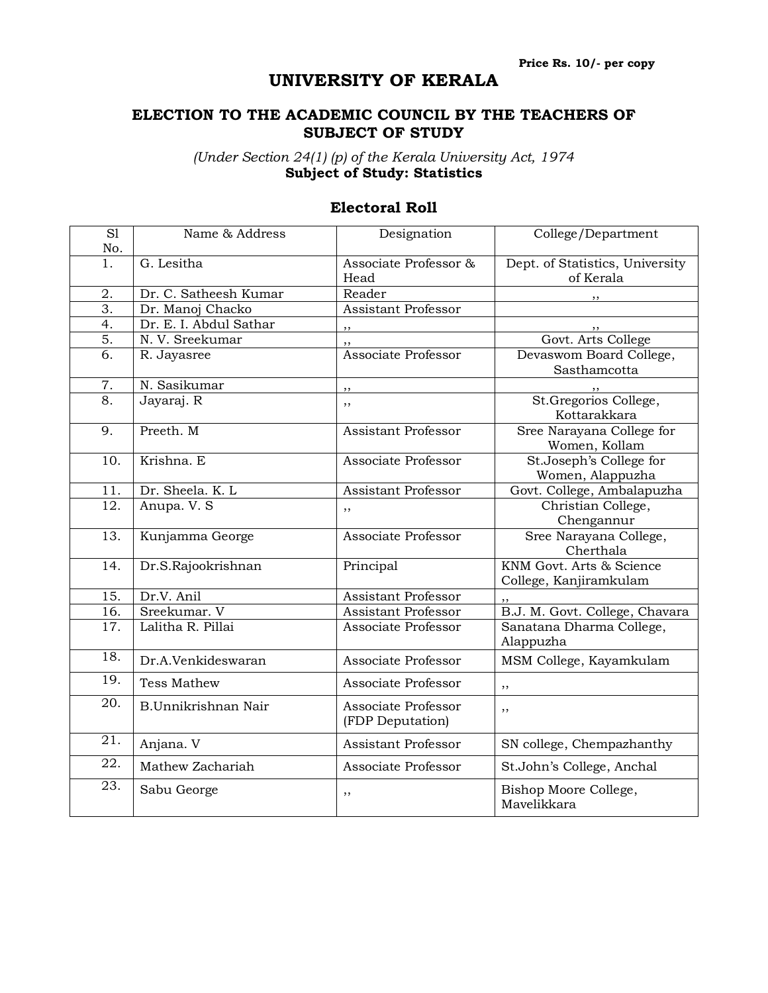## **UNIVERSITY OF KERALA**

## **ELECTION TO THE ACADEMIC COUNCIL BY THE TEACHERS OF SUBJECT OF STUDY**

*(Under Section 24(1) (p) of the Kerala University Act, 1974* **Subject of Study: Statistics**

| $\overline{SI}$   | Name & Address         | Designation                             | College/Department                                 |
|-------------------|------------------------|-----------------------------------------|----------------------------------------------------|
| No.               |                        |                                         |                                                    |
| $\overline{1}$ .  | G. Lesitha             | Associate Professor &<br>Head           | Dept. of Statistics, University<br>of Kerala       |
| 2.                | Dr. C. Satheesh Kumar  | Reader                                  |                                                    |
| $\overline{3}$ .  | Dr. Manoj Chacko       | <b>Assistant Professor</b>              |                                                    |
| 4.                | Dr. E. I. Abdul Sathar | ,,                                      |                                                    |
| 5.                | N. V. Sreekumar        | ,,                                      | Govt. Arts College                                 |
| 6.                | R. Jayasree            | Associate Professor                     | Devaswom Board College,<br>Sasthamcotta            |
| 7.                | N. Sasikumar           | ,,                                      |                                                    |
| 8.                | Jayaraj. R             | ,,                                      | St.Gregorios College,<br>Kottarakkara              |
| 9.                | Preeth. M              | <b>Assistant Professor</b>              | Sree Narayana College for<br>Women, Kollam         |
| 10.               | Krishna. E             | Associate Professor                     | St.Joseph's College for<br>Women, Alappuzha        |
| 11.               | Dr. Sheela. K. L       | <b>Assistant Professor</b>              | Govt. College, Ambalapuzha                         |
| $\overline{12}$ . | Anupa. V. S            | ,,                                      | Christian College,<br>Chengannur                   |
| $\overline{13}$ . | Kunjamma George        | Associate Professor                     | Sree Narayana College,<br>Cherthala                |
| 14.               | Dr.S.Rajookrishnan     | Principal                               | KNM Govt. Arts & Science<br>College, Kanjiramkulam |
| 15.               | Dr.V. Anil             | <b>Assistant Professor</b>              |                                                    |
| 16.               | Sreekumar. V           | Assistant Professor                     | B.J. M. Govt. College, Chavara                     |
| 17.               | Lalitha R. Pillai      | Associate Professor                     | Sanatana Dharma College,<br>Alappuzha              |
| $\overline{18}$ . | Dr.A.Venkideswaran     | Associate Professor                     | MSM College, Kayamkulam                            |
| $\overline{19}$ . | <b>Tess Mathew</b>     | Associate Professor                     | ,,                                                 |
| 20.               | B.Unnikrishnan Nair    | Associate Professor<br>(FDP Deputation) | ,,                                                 |
| 21.               | Anjana. V              | <b>Assistant Professor</b>              | SN college, Chempazhanthy                          |
| 22.               | Mathew Zachariah       | Associate Professor                     | St.John's College, Anchal                          |
| 23.               | Sabu George            | ,,                                      | Bishop Moore College,<br>Mavelikkara               |

## **Electoral Roll**